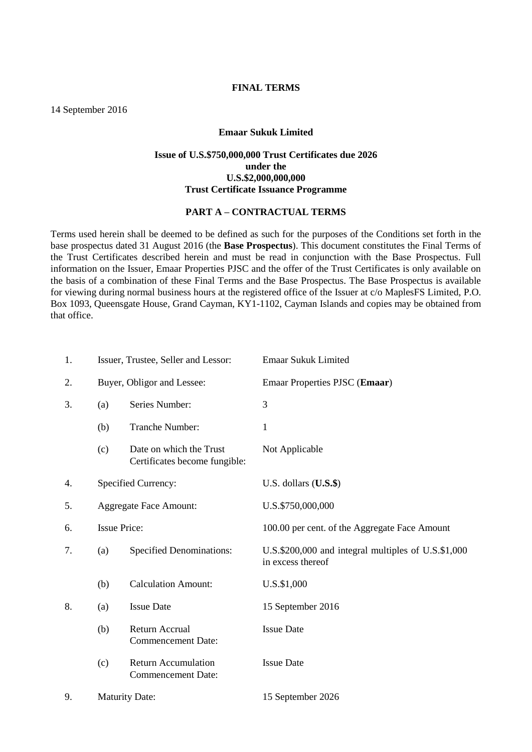### **FINAL TERMS**

14 September 2016

### **Emaar Sukuk Limited**

## **Issue of U.S.\$750,000,000 Trust Certificates due 2026 under the U.S.\$2,000,000,000 Trust Certificate Issuance Programme**

## **PART A – CONTRACTUAL TERMS**

Terms used herein shall be deemed to be defined as such for the purposes of the Conditions set forth in the base prospectus dated 31 August 2016 (the **Base Prospectus**). This document constitutes the Final Terms of the Trust Certificates described herein and must be read in conjunction with the Base Prospectus. Full information on the Issuer, Emaar Properties PJSC and the offer of the Trust Certificates is only available on the basis of a combination of these Final Terms and the Base Prospectus. The Base Prospectus is available for viewing during normal business hours at the registered office of the Issuer at c/o MaplesFS Limited, P.O. Box 1093, Queensgate House, Grand Cayman, KY1-1102, Cayman Islands and copies may be obtained from that office.

| 1. | Issuer, Trustee, Seller and Lessor: |                                                          | Emaar Sukuk Limited                                                      |
|----|-------------------------------------|----------------------------------------------------------|--------------------------------------------------------------------------|
| 2. | Buyer, Obligor and Lessee:          |                                                          | Emaar Properties PJSC (Emaar)                                            |
| 3. | (a)                                 | Series Number:                                           | 3                                                                        |
|    | (b)                                 | Tranche Number:                                          | $\mathbf{1}$                                                             |
|    | (c)                                 | Date on which the Trust<br>Certificates become fungible: | Not Applicable                                                           |
| 4. | <b>Specified Currency:</b>          |                                                          | U.S. dollars $($ U.S. $$)$                                               |
| 5. | <b>Aggregate Face Amount:</b>       |                                                          | U.S.\$750,000,000                                                        |
| 6. | <b>Issue Price:</b>                 |                                                          | 100.00 per cent. of the Aggregate Face Amount                            |
| 7. | (a)                                 | <b>Specified Denominations:</b>                          | U.S.\$200,000 and integral multiples of U.S.\$1,000<br>in excess thereof |
|    | (b)                                 | <b>Calculation Amount:</b>                               | U.S.\$1,000                                                              |
| 8. | (a)                                 | <b>Issue Date</b>                                        | 15 September 2016                                                        |
|    | (b)                                 | Return Accrual<br><b>Commencement Date:</b>              | <b>Issue Date</b>                                                        |
|    | (c)                                 | <b>Return Accumulation</b><br><b>Commencement Date:</b>  | <b>Issue Date</b>                                                        |
| 9. | <b>Maturity Date:</b>               |                                                          | 15 September 2026                                                        |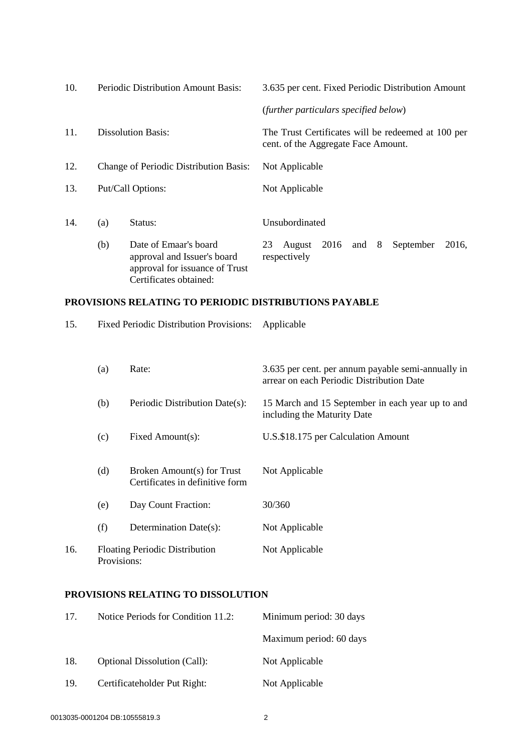| 10. | <b>Periodic Distribution Amount Basis:</b> |                                                                                                                  | 3.635 per cent. Fixed Periodic Distribution Amount                                        |                                       |      |     |   |           |       |
|-----|--------------------------------------------|------------------------------------------------------------------------------------------------------------------|-------------------------------------------------------------------------------------------|---------------------------------------|------|-----|---|-----------|-------|
|     |                                            |                                                                                                                  |                                                                                           | (further particulars specified below) |      |     |   |           |       |
| 11. | <b>Dissolution Basis:</b>                  |                                                                                                                  | The Trust Certificates will be redeemed at 100 per<br>cent. of the Aggregate Face Amount. |                                       |      |     |   |           |       |
| 12. |                                            | Change of Periodic Distribution Basis:                                                                           |                                                                                           | Not Applicable                        |      |     |   |           |       |
| 13. |                                            | Put/Call Options:                                                                                                |                                                                                           | Not Applicable                        |      |     |   |           |       |
| 14. | (a)                                        | Status:                                                                                                          |                                                                                           | Unsubordinated                        |      |     |   |           |       |
|     | (b)                                        | Date of Emaar's board<br>approval and Issuer's board<br>approval for issuance of Trust<br>Certificates obtained: | 23                                                                                        | August<br>respectively                | 2016 | and | 8 | September | 2016. |

## **PROVISIONS RELATING TO PERIODIC DISTRIBUTIONS PAYABLE**

15. Fixed Periodic Distribution Provisions: Applicable (a) Rate: 3.635 per cent. per annum payable semi-annually in arrear on each Periodic Distribution Date (b) Periodic Distribution Date(s): 15 March and 15 September in each year up to and including the Maturity Date (c) Fixed Amount(s): U.S.\$18.175 per Calculation Amount (d) Broken Amount(s) for Trust Certificates in definitive form Not Applicable (e) Day Count Fraction: 30/360 (f) Determination Date(s): Not Applicable 16. Floating Periodic Distribution Provisions: Not Applicable

# **PROVISIONS RELATING TO DISSOLUTION**

| 17. | Notice Periods for Condition 11.2:  | Minimum period: 30 days |
|-----|-------------------------------------|-------------------------|
|     |                                     | Maximum period: 60 days |
| 18. | <b>Optional Dissolution (Call):</b> | Not Applicable          |
| 19. | Certificateholder Put Right:        | Not Applicable          |
|     |                                     |                         |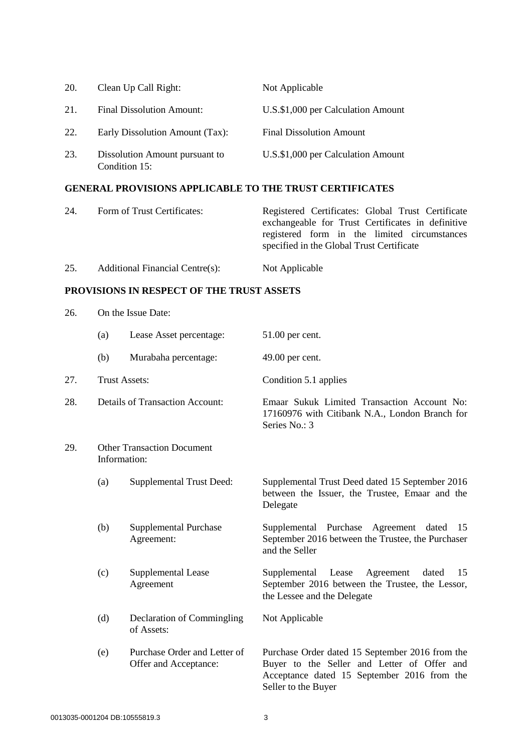| 20. | Clean Up Call Right:                            | Not Applicable                     |
|-----|-------------------------------------------------|------------------------------------|
| 21. | <b>Final Dissolution Amount:</b>                | U.S.\$1,000 per Calculation Amount |
| 22. | Early Dissolution Amount (Tax):                 | <b>Final Dissolution Amount</b>    |
| 23. | Dissolution Amount pursuant to<br>Condition 15: | U.S.\$1,000 per Calculation Amount |

# **GENERAL PROVISIONS APPLICABLE TO THE TRUST CERTIFICATES**

| 24. | Form of Trust Certificates:     | Registered Certificates: Global Trust Certificate<br>exchangeable for Trust Certificates in definitive<br>registered form in the limited circumstances<br>specified in the Global Trust Certificate |
|-----|---------------------------------|-----------------------------------------------------------------------------------------------------------------------------------------------------------------------------------------------------|
| 25. | Additional Financial Centre(s): | Not Applicable                                                                                                                                                                                      |

## **PROVISIONS IN RESPECT OF THE TRUST ASSETS**

|     | (a) | Lease Asset percentage:                               | 51.00 per cent.                                                                                                                                                      |
|-----|-----|-------------------------------------------------------|----------------------------------------------------------------------------------------------------------------------------------------------------------------------|
|     | (b) | Murabaha percentage:                                  | 49.00 per cent.                                                                                                                                                      |
| 27. |     | <b>Trust Assets:</b>                                  | Condition 5.1 applies                                                                                                                                                |
| 28. |     | <b>Details of Transaction Account:</b>                | Emaar Sukuk Limited Transaction Account No:<br>17160976 with Citibank N.A., London Branch for<br>Series No.: 3                                                       |
| 29. |     | <b>Other Transaction Document</b><br>Information:     |                                                                                                                                                                      |
|     | (a) | <b>Supplemental Trust Deed:</b>                       | Supplemental Trust Deed dated 15 September 2016<br>between the Issuer, the Trustee, Emaar and the<br>Delegate                                                        |
|     | (b) | <b>Supplemental Purchase</b><br>Agreement:            | Supplemental Purchase Agreement dated<br>15<br>September 2016 between the Trustee, the Purchaser<br>and the Seller                                                   |
|     | (c) | Supplemental Lease<br>Agreement                       | Supplemental<br>Lease<br>Agreement<br>dated<br>15<br>September 2016 between the Trustee, the Lessor,<br>the Lessee and the Delegate                                  |
|     | (d) | Declaration of Commingling<br>of Assets:              | Not Applicable                                                                                                                                                       |
|     | (e) | Purchase Order and Letter of<br>Offer and Acceptance: | Purchase Order dated 15 September 2016 from the<br>Buyer to the Seller and Letter of Offer and<br>Acceptance dated 15 September 2016 from the<br>Seller to the Buyer |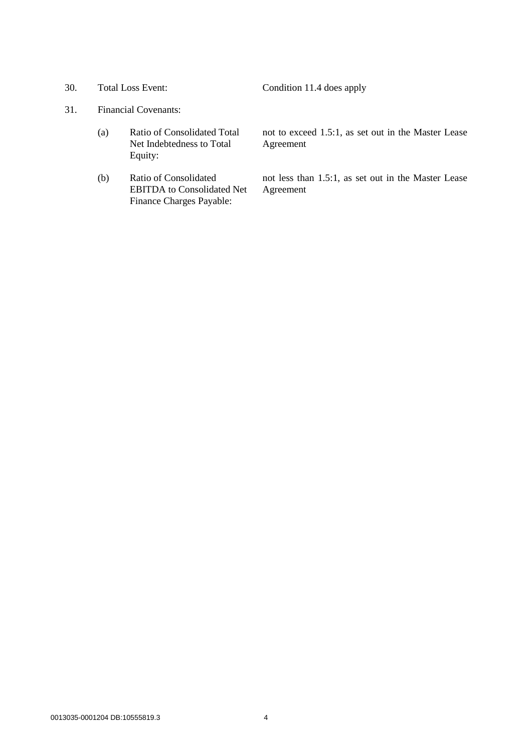30. Total Loss Event: Condition 11.4 does apply

# 31. Financial Covenants:

- (a) Ratio of Consolidated Total Net Indebtedness to Total Equity:
- (b) Ratio of Consolidated EBITDA to Consolidated Net Finance Charges Payable:

not to exceed 1.5:1, as set out in the Master Lease Agreement

not less than 1.5:1, as set out in the Master Lease Agreement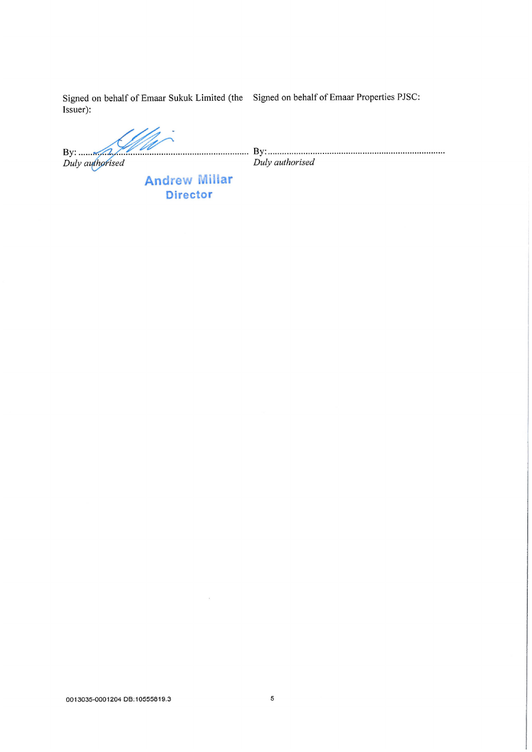Signed on behalf of Emaar Sukuk Limited (the Signed on behalf of Emaar Properties PJSC: Issuer):

By:  $\sqrt{2}$ 

Duly authorised

Duly authorised

**Andrew Millar Director** 

 $\bar{S}$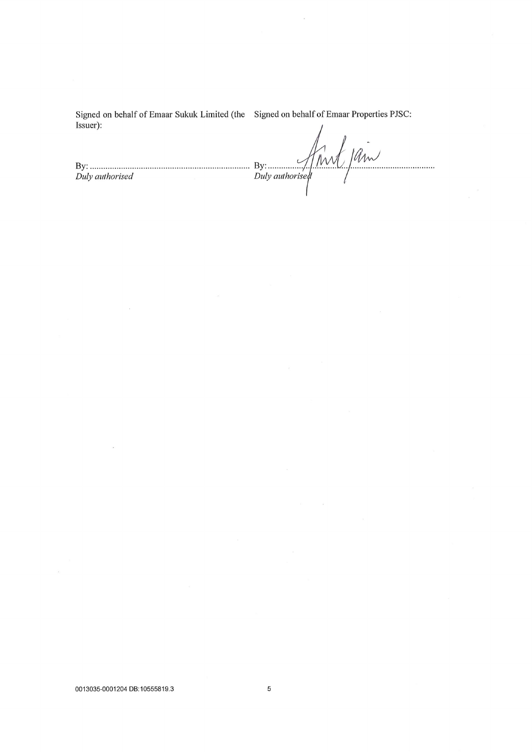Signed on behalf of Emaar Sukuk Limited (the Signed on behalf of Emaar Properties PJSC: Issuer):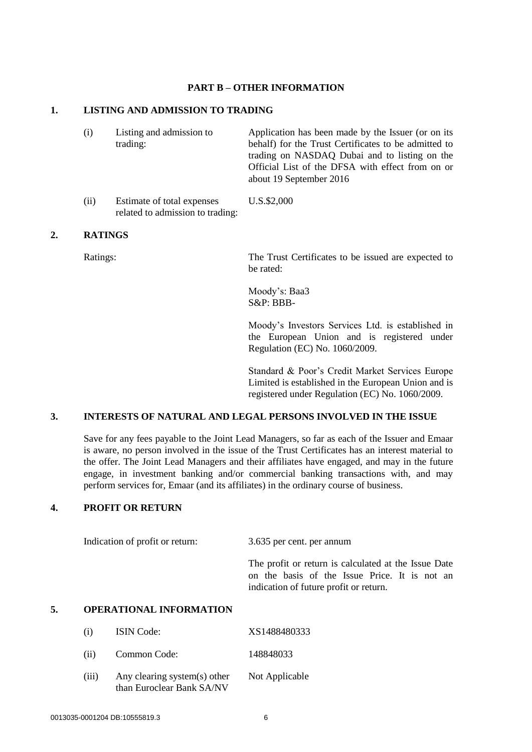### **PART B – OTHER INFORMATION**

## **1. LISTING AND ADMISSION TO TRADING**

- (i) Listing and admission to trading: Application has been made by the Issuer (or on its behalf) for the Trust Certificates to be admitted to trading on NASDAQ Dubai and to listing on the Official List of the DFSA with effect from on or about 19 September 2016
- (ii) Estimate of total expenses related to admission to trading: U.S.\$2,000

## **2. RATINGS**

Ratings: The Trust Certificates to be issued are expected to be rated:

> Moody's: Baa3 S&P: BBB-

Moody's Investors Services Ltd. is established in the European Union and is registered under Regulation (EC) No. 1060/2009.

Standard & Poor's Credit Market Services Europe Limited is established in the European Union and is registered under Regulation (EC) No. 1060/2009.

## **3. INTERESTS OF NATURAL AND LEGAL PERSONS INVOLVED IN THE ISSUE**

Save for any fees payable to the Joint Lead Managers, so far as each of the Issuer and Emaar is aware, no person involved in the issue of the Trust Certificates has an interest material to the offer. The Joint Lead Managers and their affiliates have engaged, and may in the future engage, in investment banking and/or commercial banking transactions with, and may perform services for, Emaar (and its affiliates) in the ordinary course of business.

## **4. PROFIT OR RETURN**

Indication of profit or return: 3.635 per cent. per annum

The profit or return is calculated at the Issue Date on the basis of the Issue Price. It is not an indication of future profit or return.

### **5. OPERATIONAL INFORMATION**

| (i)   | <b>ISIN</b> Code:                                         | XS1488480333   |
|-------|-----------------------------------------------------------|----------------|
| (ii)  | Common Code:                                              | 148848033      |
| (iii) | Any clearing system(s) other<br>than Euroclear Bank SA/NV | Not Applicable |